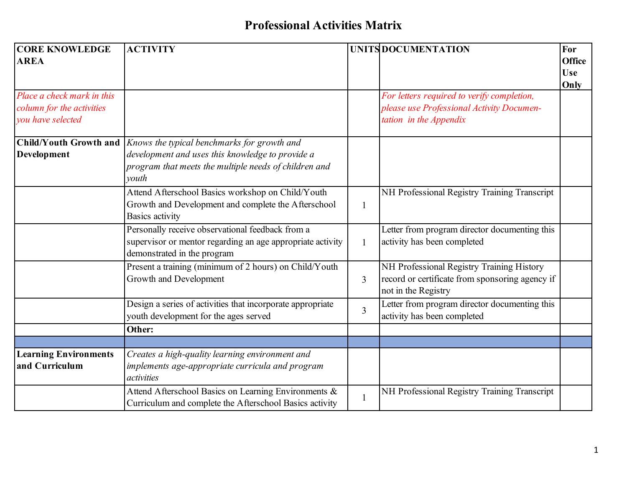## **Professional Activities Matrix**

| <b>CORE KNOWLEDGE</b><br><b>AREA</b>                                         | <b>ACTIVITY</b>                                                                                                                                                   |                | UNITS DOCUMENTATION                                                                                                 | For<br><b>Office</b><br><b>Use</b><br>Only |
|------------------------------------------------------------------------------|-------------------------------------------------------------------------------------------------------------------------------------------------------------------|----------------|---------------------------------------------------------------------------------------------------------------------|--------------------------------------------|
| Place a check mark in this<br>column for the activities<br>you have selected |                                                                                                                                                                   |                | For letters required to verify completion,<br>please use Professional Activity Documen-<br>tation in the Appendix   |                                            |
| <b>Child/Youth Growth and</b><br><b>Development</b>                          | Knows the typical benchmarks for growth and<br>development and uses this knowledge to provide a<br>program that meets the multiple needs of children and<br>vouth |                |                                                                                                                     |                                            |
|                                                                              | Attend Afterschool Basics workshop on Child/Youth<br>Growth and Development and complete the Afterschool<br><b>Basics activity</b>                                | $\mathbf{1}$   | NH Professional Registry Training Transcript                                                                        |                                            |
|                                                                              | Personally receive observational feedback from a<br>supervisor or mentor regarding an age appropriate activity<br>demonstrated in the program                     | $\mathbf{1}$   | Letter from program director documenting this<br>activity has been completed                                        |                                            |
|                                                                              | Present a training (minimum of 2 hours) on Child/Youth<br>Growth and Development                                                                                  | 3              | NH Professional Registry Training History<br>record or certificate from sponsoring agency if<br>not in the Registry |                                            |
|                                                                              | Design a series of activities that incorporate appropriate<br>youth development for the ages served                                                               | $\overline{3}$ | Letter from program director documenting this<br>activity has been completed                                        |                                            |
|                                                                              | Other:                                                                                                                                                            |                |                                                                                                                     |                                            |
| <b>Learning Environments</b><br>and Curriculum                               | Creates a high-quality learning environment and<br>implements age-appropriate curricula and program<br>activities                                                 |                |                                                                                                                     |                                            |
|                                                                              | Attend Afterschool Basics on Learning Environments &<br>Curriculum and complete the Afterschool Basics activity                                                   | 1              | NH Professional Registry Training Transcript                                                                        |                                            |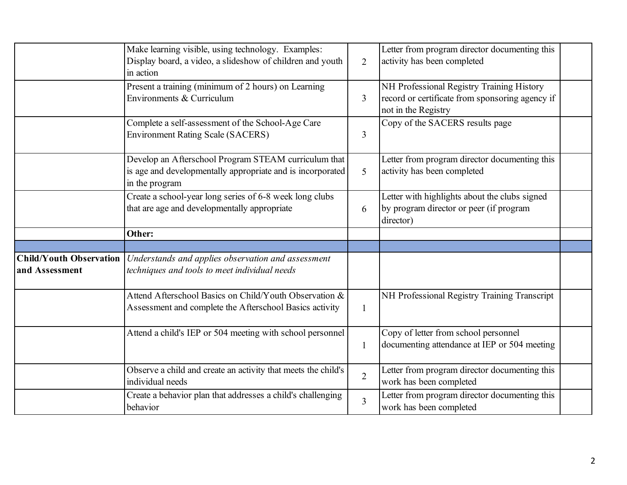|                                                  | Make learning visible, using technology. Examples:<br>Display board, a video, a slideshow of children and youth<br>in action         | $\overline{2}$ | Letter from program director documenting this<br>activity has been completed                                              |  |
|--------------------------------------------------|--------------------------------------------------------------------------------------------------------------------------------------|----------------|---------------------------------------------------------------------------------------------------------------------------|--|
|                                                  | Present a training (minimum of 2 hours) on Learning<br>Environments & Curriculum                                                     | $\overline{3}$ | NH Professional Registry Training History<br>record or certificate from sponsoring agency if<br>not in the Registry       |  |
|                                                  | Complete a self-assessment of the School-Age Care<br><b>Environment Rating Scale (SACERS)</b>                                        | 3              | Copy of the SACERS results page                                                                                           |  |
|                                                  | Develop an Afterschool Program STEAM curriculum that<br>is age and developmentally appropriate and is incorporated<br>in the program | 5              | Letter from program director documenting this<br>activity has been completed                                              |  |
|                                                  | Create a school-year long series of 6-8 week long clubs<br>that are age and developmentally appropriate                              | 6              | Letter with highlights about the clubs signed<br>by program director or peer (if program<br>director)                     |  |
|                                                  |                                                                                                                                      |                |                                                                                                                           |  |
|                                                  | Other:                                                                                                                               |                |                                                                                                                           |  |
|                                                  |                                                                                                                                      |                |                                                                                                                           |  |
| <b>Child/Youth Observation</b><br>and Assessment | Understands and applies observation and assessment<br>techniques and tools to meet individual needs                                  |                |                                                                                                                           |  |
|                                                  | Attend Afterschool Basics on Child/Youth Observation &<br>Assessment and complete the Afterschool Basics activity                    | $\mathbf{1}$   | NH Professional Registry Training Transcript                                                                              |  |
|                                                  | Attend a child's IEP or 504 meeting with school personnel                                                                            | $\mathbf{1}$   | Copy of letter from school personnel<br>documenting attendance at IEP or 504 meeting                                      |  |
|                                                  | Observe a child and create an activity that meets the child's<br>individual needs                                                    | $\overline{2}$ | Letter from program director documenting this<br>work has been completed<br>Letter from program director documenting this |  |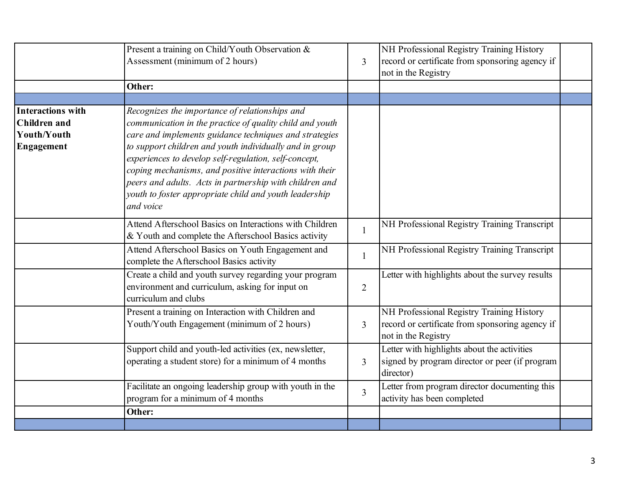|                                                                              | Present a training on Child/Youth Observation &<br>Assessment (minimum of 2 hours)                                                                                                                                                                                                                                                                                                                                                                                                    | $\overline{3}$ | NH Professional Registry Training History<br>record or certificate from sponsoring agency if<br>not in the Registry |  |
|------------------------------------------------------------------------------|---------------------------------------------------------------------------------------------------------------------------------------------------------------------------------------------------------------------------------------------------------------------------------------------------------------------------------------------------------------------------------------------------------------------------------------------------------------------------------------|----------------|---------------------------------------------------------------------------------------------------------------------|--|
|                                                                              | Other:                                                                                                                                                                                                                                                                                                                                                                                                                                                                                |                |                                                                                                                     |  |
| <b>Interactions with</b><br><b>Children</b> and<br>Youth/Youth<br>Engagement | Recognizes the importance of relationships and<br>communication in the practice of quality child and youth<br>care and implements guidance techniques and strategies<br>to support children and youth individually and in group<br>experiences to develop self-regulation, self-concept,<br>coping mechanisms, and positive interactions with their<br>peers and adults. Acts in partnership with children and<br>youth to foster appropriate child and youth leadership<br>and voice |                |                                                                                                                     |  |
|                                                                              | Attend Afterschool Basics on Interactions with Children<br>& Youth and complete the Afterschool Basics activity                                                                                                                                                                                                                                                                                                                                                                       |                | NH Professional Registry Training Transcript                                                                        |  |
|                                                                              | Attend Afterschool Basics on Youth Engagement and<br>complete the Afterschool Basics activity                                                                                                                                                                                                                                                                                                                                                                                         | $\mathbf{1}$   | NH Professional Registry Training Transcript                                                                        |  |
|                                                                              | Create a child and youth survey regarding your program<br>environment and curriculum, asking for input on<br>curriculum and clubs                                                                                                                                                                                                                                                                                                                                                     | $\overline{2}$ | Letter with highlights about the survey results                                                                     |  |
|                                                                              | Present a training on Interaction with Children and<br>Youth/Youth Engagement (minimum of 2 hours)                                                                                                                                                                                                                                                                                                                                                                                    | $\overline{3}$ | NH Professional Registry Training History<br>record or certificate from sponsoring agency if<br>not in the Registry |  |
|                                                                              | Support child and youth-led activities (ex, newsletter,<br>operating a student store) for a minimum of 4 months                                                                                                                                                                                                                                                                                                                                                                       | 3              | Letter with highlights about the activities<br>signed by program director or peer (if program<br>director)          |  |
|                                                                              | Facilitate an ongoing leadership group with youth in the<br>program for a minimum of 4 months                                                                                                                                                                                                                                                                                                                                                                                         | $\overline{3}$ | Letter from program director documenting this<br>activity has been completed                                        |  |
|                                                                              | Other:                                                                                                                                                                                                                                                                                                                                                                                                                                                                                |                |                                                                                                                     |  |
|                                                                              |                                                                                                                                                                                                                                                                                                                                                                                                                                                                                       |                |                                                                                                                     |  |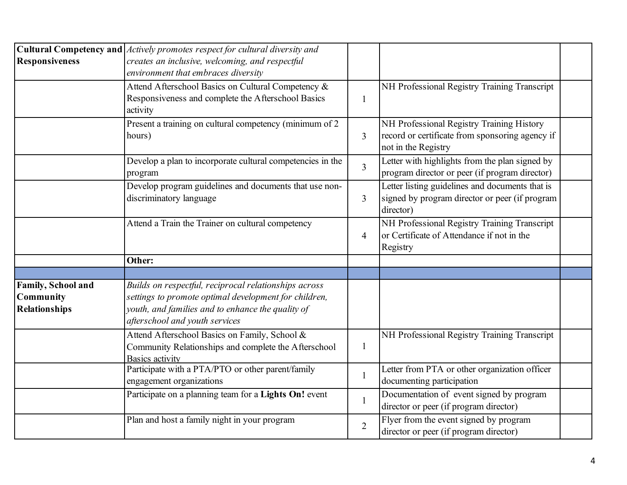| <b>Responsiveness</b>                                          | <b>Cultural Competency and</b> <i>Actively promotes respect for cultural diversity and</i><br>creates an inclusive, welcoming, and respectful<br>environment that embraces diversity<br>Attend Afterschool Basics on Cultural Competency & |                | NH Professional Registry Training Transcript                                                                        |  |
|----------------------------------------------------------------|--------------------------------------------------------------------------------------------------------------------------------------------------------------------------------------------------------------------------------------------|----------------|---------------------------------------------------------------------------------------------------------------------|--|
|                                                                | Responsiveness and complete the Afterschool Basics<br>activity                                                                                                                                                                             | $\mathbf{1}$   |                                                                                                                     |  |
|                                                                | Present a training on cultural competency (minimum of 2<br>hours)                                                                                                                                                                          | $\overline{3}$ | NH Professional Registry Training History<br>record or certificate from sponsoring agency if<br>not in the Registry |  |
|                                                                | Develop a plan to incorporate cultural competencies in the<br>program                                                                                                                                                                      | $\overline{3}$ | Letter with highlights from the plan signed by<br>program director or peer (if program director)                    |  |
|                                                                | Develop program guidelines and documents that use non-<br>discriminatory language                                                                                                                                                          | $\overline{3}$ | Letter listing guidelines and documents that is<br>signed by program director or peer (if program<br>director)      |  |
|                                                                | Attend a Train the Trainer on cultural competency                                                                                                                                                                                          | $\overline{4}$ | NH Professional Registry Training Transcript<br>or Certificate of Attendance if not in the<br>Registry              |  |
|                                                                | Other:                                                                                                                                                                                                                                     |                |                                                                                                                     |  |
|                                                                |                                                                                                                                                                                                                                            |                |                                                                                                                     |  |
| Family, School and<br><b>Community</b><br><b>Relationships</b> | Builds on respectful, reciprocal relationships across<br>settings to promote optimal development for children,<br>youth, and families and to enhance the quality of<br>afterschool and youth services                                      |                |                                                                                                                     |  |
|                                                                | Attend Afterschool Basics on Family, School &<br>Community Relationships and complete the Afterschool<br><b>Basics activity</b>                                                                                                            | $\mathbf{1}$   | NH Professional Registry Training Transcript                                                                        |  |
|                                                                | Participate with a PTA/PTO or other parent/family<br>engagement organizations                                                                                                                                                              | $\mathbf{1}$   | Letter from PTA or other organization officer<br>documenting participation                                          |  |
|                                                                | Participate on a planning team for a Lights On! event                                                                                                                                                                                      | $\mathbf{1}$   | Documentation of event signed by program<br>director or peer (if program director)                                  |  |
|                                                                | Plan and host a family night in your program                                                                                                                                                                                               | $\overline{2}$ | Flyer from the event signed by program<br>director or peer (if program director)                                    |  |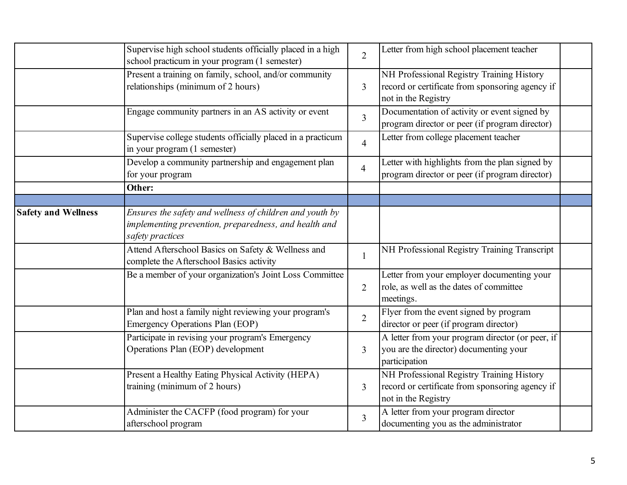|                            | Supervise high school students officially placed in a high<br>school practicum in your program (1 semester)                           | $\overline{2}$ | Letter from high school placement teacher                                                                           |
|----------------------------|---------------------------------------------------------------------------------------------------------------------------------------|----------------|---------------------------------------------------------------------------------------------------------------------|
|                            | Present a training on family, school, and/or community<br>relationships (minimum of 2 hours)                                          | $\overline{3}$ | NH Professional Registry Training History<br>record or certificate from sponsoring agency if<br>not in the Registry |
|                            | Engage community partners in an AS activity or event                                                                                  | $\overline{3}$ | Documentation of activity or event signed by<br>program director or peer (if program director)                      |
|                            | Supervise college students officially placed in a practicum<br>in your program (1 semester)                                           | $\overline{4}$ | Letter from college placement teacher                                                                               |
|                            | Develop a community partnership and engagement plan<br>for your program                                                               | $\overline{4}$ | Letter with highlights from the plan signed by<br>program director or peer (if program director)                    |
|                            | Other:                                                                                                                                |                |                                                                                                                     |
|                            |                                                                                                                                       |                |                                                                                                                     |
| <b>Safety and Wellness</b> | Ensures the safety and wellness of children and youth by<br>implementing prevention, preparedness, and health and<br>safety practices |                |                                                                                                                     |
|                            | Attend Afterschool Basics on Safety & Wellness and<br>complete the Afterschool Basics activity                                        | $\mathbf{1}$   | NH Professional Registry Training Transcript                                                                        |
|                            | Be a member of your organization's Joint Loss Committee                                                                               | $\overline{2}$ | Letter from your employer documenting your<br>role, as well as the dates of committee<br>meetings.                  |
|                            | Plan and host a family night reviewing your program's<br><b>Emergency Operations Plan (EOP)</b>                                       | $\overline{2}$ | Flyer from the event signed by program<br>director or peer (if program director)                                    |
|                            | Participate in revising your program's Emergency<br>Operations Plan (EOP) development                                                 | $\overline{3}$ | A letter from your program director (or peer, if<br>you are the director) documenting your<br>participation         |
|                            | Present a Healthy Eating Physical Activity (HEPA)<br>training (minimum of 2 hours)                                                    | 3              | NH Professional Registry Training History<br>record or certificate from sponsoring agency if<br>not in the Registry |
|                            | Administer the CACFP (food program) for your<br>afterschool program                                                                   | $\overline{3}$ | A letter from your program director<br>documenting you as the administrator                                         |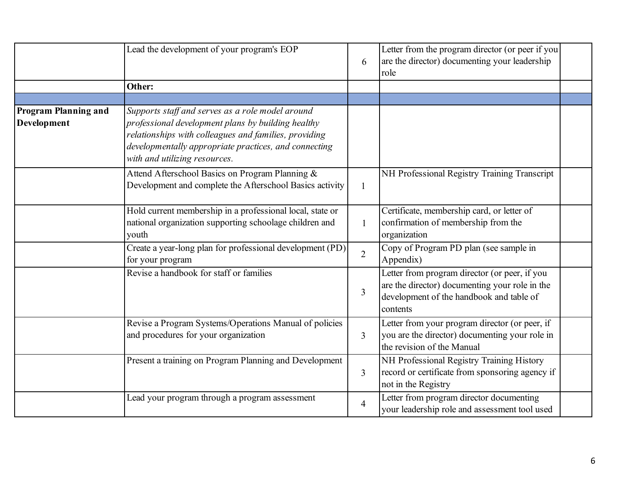|                                                   | Lead the development of your program's EOP                                                                                                                                                                                                                | 6              | Letter from the program director (or peer if you<br>are the director) documenting your leadership<br>role                                               |  |
|---------------------------------------------------|-----------------------------------------------------------------------------------------------------------------------------------------------------------------------------------------------------------------------------------------------------------|----------------|---------------------------------------------------------------------------------------------------------------------------------------------------------|--|
|                                                   | Other:                                                                                                                                                                                                                                                    |                |                                                                                                                                                         |  |
|                                                   |                                                                                                                                                                                                                                                           |                |                                                                                                                                                         |  |
| <b>Program Planning and</b><br><b>Development</b> | Supports staff and serves as a role model around<br>professional development plans by building healthy<br>relationships with colleagues and families, providing<br>developmentally appropriate practices, and connecting<br>with and utilizing resources. |                |                                                                                                                                                         |  |
|                                                   | Attend Afterschool Basics on Program Planning &<br>Development and complete the Afterschool Basics activity                                                                                                                                               | $\mathbf{1}$   | NH Professional Registry Training Transcript                                                                                                            |  |
|                                                   | Hold current membership in a professional local, state or<br>national organization supporting schoolage children and<br>youth                                                                                                                             | $\mathbf{1}$   | Certificate, membership card, or letter of<br>confirmation of membership from the<br>organization                                                       |  |
|                                                   | Create a year-long plan for professional development (PD)<br>for your program                                                                                                                                                                             | $\overline{2}$ | Copy of Program PD plan (see sample in<br>Appendix)                                                                                                     |  |
|                                                   | Revise a handbook for staff or families                                                                                                                                                                                                                   | 3              | Letter from program director (or peer, if you<br>are the director) documenting your role in the<br>development of the handbook and table of<br>contents |  |
|                                                   | Revise a Program Systems/Operations Manual of policies<br>and procedures for your organization                                                                                                                                                            | 3              | Letter from your program director (or peer, if<br>you are the director) documenting your role in<br>the revision of the Manual                          |  |
|                                                   | Present a training on Program Planning and Development                                                                                                                                                                                                    | $\overline{3}$ | NH Professional Registry Training History<br>record or certificate from sponsoring agency if<br>not in the Registry                                     |  |
|                                                   | Lead your program through a program assessment                                                                                                                                                                                                            | $\overline{4}$ | Letter from program director documenting<br>your leadership role and assessment tool used                                                               |  |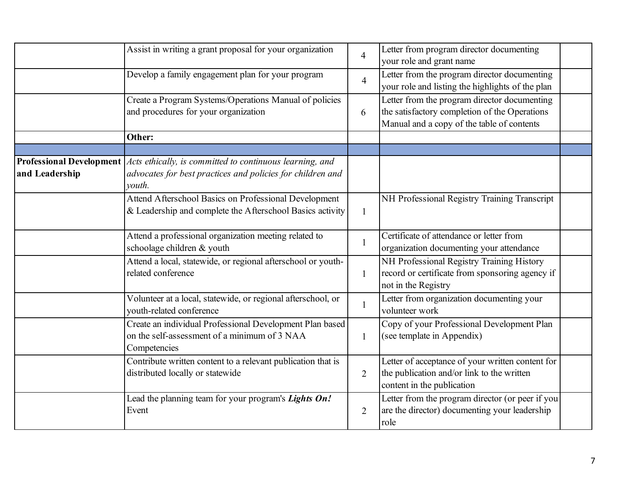|                                                   | Assist in writing a grant proposal for your organization                                                                         | $\overline{4}$ | Letter from program director documenting<br>your role and grant name                                                                        |  |
|---------------------------------------------------|----------------------------------------------------------------------------------------------------------------------------------|----------------|---------------------------------------------------------------------------------------------------------------------------------------------|--|
|                                                   | Develop a family engagement plan for your program                                                                                | $\overline{4}$ | Letter from the program director documenting<br>your role and listing the highlights of the plan                                            |  |
|                                                   | Create a Program Systems/Operations Manual of policies<br>and procedures for your organization                                   | 6              | Letter from the program director documenting<br>the satisfactory completion of the Operations<br>Manual and a copy of the table of contents |  |
|                                                   | Other:                                                                                                                           |                |                                                                                                                                             |  |
|                                                   |                                                                                                                                  |                |                                                                                                                                             |  |
| <b>Professional Development</b><br>and Leadership | Acts ethically, is committed to continuous learning, and<br>advocates for best practices and policies for children and<br>vouth. |                |                                                                                                                                             |  |
|                                                   | Attend Afterschool Basics on Professional Development<br>& Leadership and complete the Afterschool Basics activity               | $\mathbf{1}$   | NH Professional Registry Training Transcript                                                                                                |  |
|                                                   | Attend a professional organization meeting related to<br>schoolage children & youth                                              | $\mathbf{1}$   | Certificate of attendance or letter from<br>organization documenting your attendance                                                        |  |
|                                                   | Attend a local, statewide, or regional afterschool or youth-<br>related conference                                               | $\mathbf{1}$   | NH Professional Registry Training History<br>record or certificate from sponsoring agency if<br>not in the Registry                         |  |
|                                                   | Volunteer at a local, statewide, or regional afterschool, or<br>youth-related conference                                         | $\mathbf{1}$   | Letter from organization documenting your<br>volunteer work                                                                                 |  |
|                                                   | Create an individual Professional Development Plan based<br>on the self-assessment of a minimum of 3 NAA<br>Competencies         | $\mathbf{1}$   | Copy of your Professional Development Plan<br>(see template in Appendix)                                                                    |  |
|                                                   | Contribute written content to a relevant publication that is<br>distributed locally or statewide                                 | $\overline{2}$ | Letter of acceptance of your written content for<br>the publication and/or link to the written<br>content in the publication                |  |
|                                                   | Lead the planning team for your program's Lights On!<br>Event                                                                    | $\overline{2}$ | Letter from the program director (or peer if you<br>are the director) documenting your leadership<br>role                                   |  |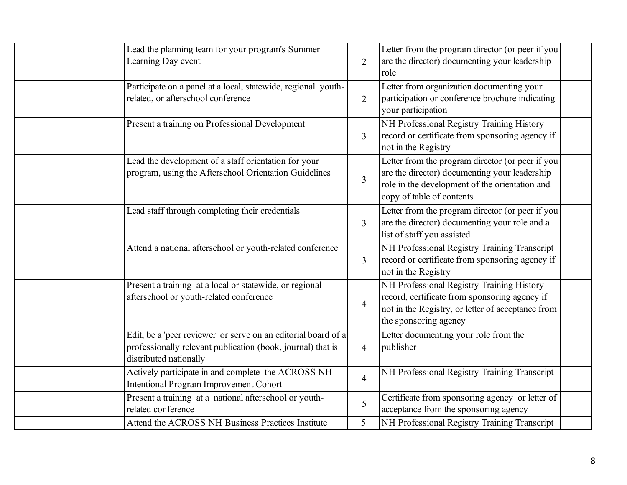| Lead the planning team for your program's Summer<br>Learning Day event                                                                                  | $\overline{2}$ | Letter from the program director (or peer if you<br>are the director) documenting your leadership<br>role                                                                        |
|---------------------------------------------------------------------------------------------------------------------------------------------------------|----------------|----------------------------------------------------------------------------------------------------------------------------------------------------------------------------------|
| Participate on a panel at a local, statewide, regional youth-<br>related, or afterschool conference                                                     | $\overline{2}$ | Letter from organization documenting your<br>participation or conference brochure indicating<br>your participation                                                               |
| Present a training on Professional Development                                                                                                          | 3              | NH Professional Registry Training History<br>record or certificate from sponsoring agency if<br>not in the Registry                                                              |
| Lead the development of a staff orientation for your<br>program, using the Afterschool Orientation Guidelines                                           | $\overline{3}$ | Letter from the program director (or peer if you<br>are the director) documenting your leadership<br>role in the development of the orientation and<br>copy of table of contents |
| Lead staff through completing their credentials                                                                                                         | 3              | Letter from the program director (or peer if you<br>are the director) documenting your role and a<br>list of staff you assisted                                                  |
| Attend a national afterschool or youth-related conference                                                                                               | $\overline{3}$ | NH Professional Registry Training Transcript<br>record or certificate from sponsoring agency if<br>not in the Registry                                                           |
| Present a training at a local or statewide, or regional<br>afterschool or youth-related conference                                                      | $\overline{4}$ | NH Professional Registry Training History<br>record, certificate from sponsoring agency if<br>not in the Registry, or letter of acceptance from<br>the sponsoring agency         |
| Edit, be a 'peer reviewer' or serve on an editorial board of a<br>professionally relevant publication (book, journal) that is<br>distributed nationally | $\overline{4}$ | Letter documenting your role from the<br>publisher                                                                                                                               |
| Actively participate in and complete the ACROSS NH<br><b>Intentional Program Improvement Cohort</b>                                                     | $\overline{4}$ | NH Professional Registry Training Transcript                                                                                                                                     |
| Present a training at a national afterschool or youth-<br>related conference                                                                            | 5              | Certificate from sponsoring agency or letter of<br>acceptance from the sponsoring agency                                                                                         |
| Attend the ACROSS NH Business Practices Institute                                                                                                       | 5 <sup>1</sup> | NH Professional Registry Training Transcript                                                                                                                                     |